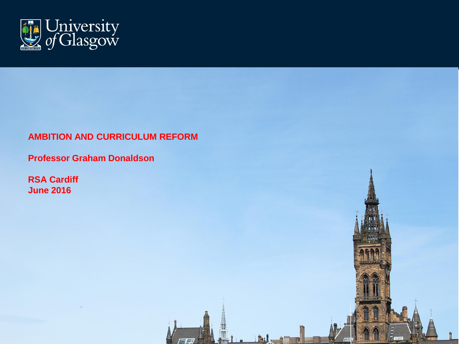

#### **AMBITION AND CURRICULUM REFORM**

**Professor Graham Donaldson**

**RSA Cardiff June 2016**

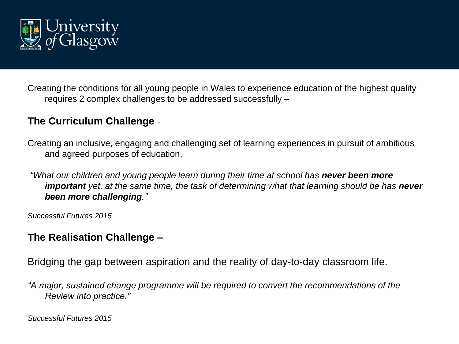

Creating the conditions for all young people in Wales to experience education of the highest quality requires 2 complex challenges to be addressed successfully –

### **The Curriculum Challenge** -

Creating an inclusive, engaging and challenging set of learning experiences in pursuit of ambitious and agreed purposes of education.

*"What our children and young people learn during their time at school has never been more important yet, at the same time, the task of determining what that learning should be has never been more challenging."*

*Successful Futures 2015* 

#### **The Realisation Challenge –**

Bridging the gap between aspiration and the reality of day-to-day classroom life.

*"A major, sustained change programme will be required to convert the recommendations of the Review into practice."* 

*Successful Futures 2015*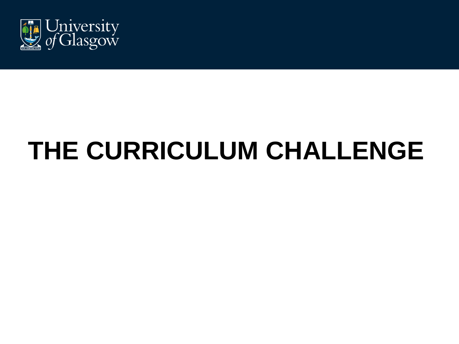

## **THE CURRICULUM CHALLENGE**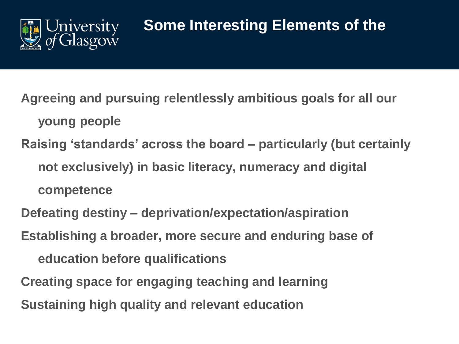

## **Some Interesting Elements of the**

**Agreeing and pursuing relentlessly ambitious goals for all our young people Raising 'standards' across the board – particularly (but certainly not exclusively) in basic literacy, numeracy and digital** 

**competence**

**Defeating destiny – deprivation/expectation/aspiration**

**Establishing a broader, more secure and enduring base of** 

**education before qualifications**

**Creating space for engaging teaching and learning Sustaining high quality and relevant education**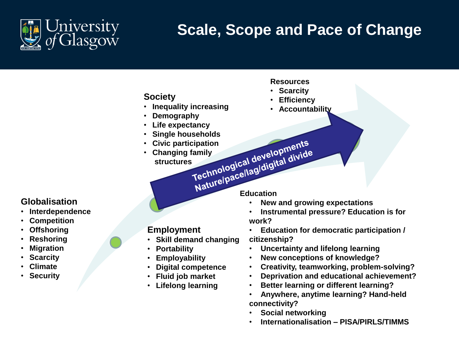

## **Scale, Scope and Pace of Change**

**Society**

- **Inequality increasing**
- **Demography**
- **Life expectancy**
- 
- **Civic participation** • **Changing family**
- Single households<br>
Civic participation<br>
Changing family<br>
structures<br>
The papelogical developments **structures Naturelpacellagidigital divide**

#### **Resources**

- **Scarcity**
- **Efficiency**
- **Accountability**

#### **Globalisation**

- **Interdependence**
- **Competition**
- **Offshoring**
- **Reshoring**
- **Migration**
- **Scarcity**
- **Climate**
- **Security**

#### **Employment**

- **Skill demand changing**
- **Portability**
- **Employability**
- **Digital competence**
- **Fluid job market**
- **Lifelong learning**

- **New and growing expectations**
- **Instrumental pressure? Education is for work?**
- **Education for democratic participation / citizenship?**
- **Uncertainty and lifelong learning**
- **New conceptions of knowledge?**
- **Creativity, teamworking, problem-solving?**
- **Deprivation and educational achievement?**
- **Better learning or different learning?**
- **Anywhere, anytime learning? Hand-held connectivity?**
- **Social networking**
- **Internationalisation – PISA/PIRLS/TIMMS**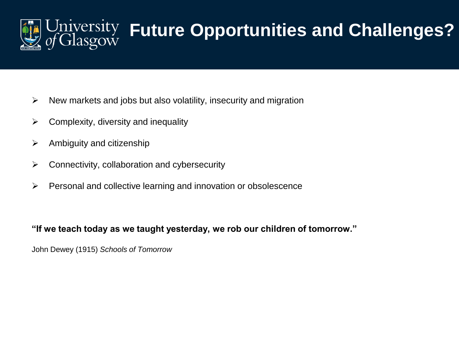

# Jniversity Future Opportunities and Challenges?

- $\triangleright$  New markets and jobs but also volatility, insecurity and migration
- $\triangleright$  Complexity, diversity and inequality
- $\triangleright$  Ambiguity and citizenship
- $\triangleright$  Connectivity, collaboration and cybersecurity
- $\triangleright$  Personal and collective learning and innovation or obsolescence

#### **"If we teach today as we taught yesterday, we rob our children of tomorrow."**

John Dewey (1915) *Schools of Tomorrow*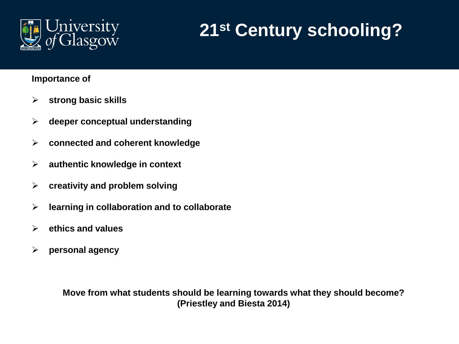

## **21st Century schooling?**

#### **Importance of**

- **strong basic skills**
- **deeper conceptual understanding**
- **connected and coherent knowledge**
- **authentic knowledge in context**
- **creativity and problem solving**
- **learning in collaboration and to collaborate**
- **ethics and values**
- **personal agency**

**Move from what students should be learning towards what they should become? (Priestley and Biesta 2014)**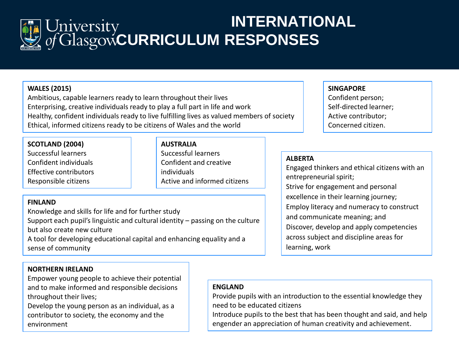

## **INTERNATIONAL**  University<br>of Glasgow CURRICULUM RESPONSES

#### **WALES (2015)**

Ambitious, capable learners ready to learn throughout their lives Enterprising, creative individuals ready to play a full part in life and work Healthy, confident individuals ready to live fulfilling lives as valued members of society Ethical, informed citizens ready to be citizens of Wales and the world

#### **SCOTLAND (2004)**

Successful learners Confident individuals Effective contributors Responsible citizens

**AUSTRALIA** Successful learners Confident and creative individuals Active and informed citizens

#### **FINLAND**

Knowledge and skills for life and for further study Support each pupil's linguistic and cultural identity – passing on the culture but also create new culture

A tool for developing educational capital and enhancing equality and a sense of community

#### **SINGAPORE**

Confident person; Self-directed learner; Active contributor; Concerned citizen.

#### **ALBERTA**

Engaged thinkers and ethical citizens with an entrepreneurial spirit; Strive for engagement and personal excellence in their learning journey; Employ literacy and numeracy to construct and communicate meaning; and Discover, develop and apply competencies across subject and discipline areas for learning, work

#### **NORTHERN IRELAND**

Empower young people to achieve their potential and to make informed and responsible decisions throughout their lives;

Develop the young person as an individual, as a contributor to society, the economy and the environment

#### **ENGLAND**

Provide pupils with an introduction to the essential knowledge they need to be educated citizens

Introduce pupils to the best that has been thought and said, and help engender an appreciation of human creativity and achievement.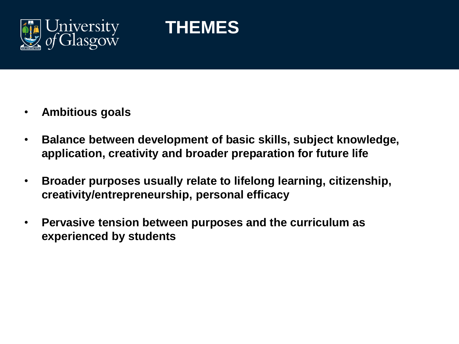

## **THEMES**

- **Ambitious goals**
- **Balance between development of basic skills, subject knowledge, application, creativity and broader preparation for future life**
- **Broader purposes usually relate to lifelong learning, citizenship, creativity/entrepreneurship, personal efficacy**
- **Pervasive tension between purposes and the curriculum as experienced by students**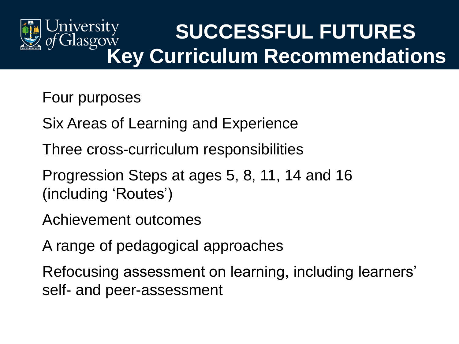

## **SUCCESSFUL FUTURES Key Curriculum Recommendations**

### Four purposes

Six Areas of Learning and Experience

Three cross-curriculum responsibilities

Progression Steps at ages 5, 8, 11, 14 and 16 (including 'Routes')

Achievement outcomes

A range of pedagogical approaches

Refocusing assessment on learning, including learners' self- and peer-assessment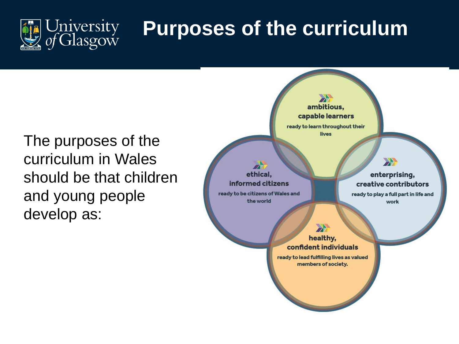

## **Purposes of the curriculum**

The purposes of the curriculum in Wales should be that children and young people develop as:

ambitious, capable learners ready to learn throughout their lives

ethical. informed citizens ready to be citizens of Wales and the world

enterprising, creative contributors

2

ready to play a full part in life and work

healthy, confident individuals

 $\rightarrow$ 

ready to lead fulfilling lives as valued members of society.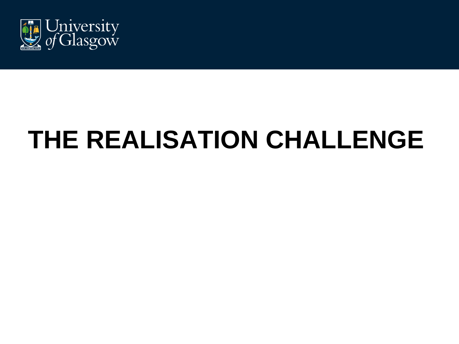

## **THE REALISATION CHALLENGE**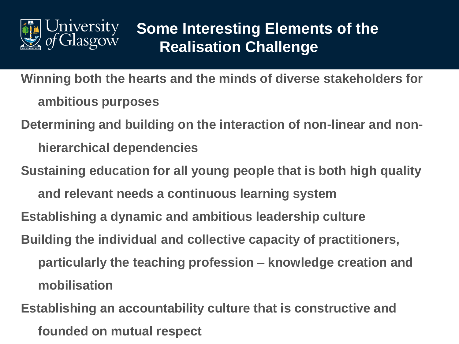

### **Some Interesting Elements of the Realisation Challenge**

**Winning both the hearts and the minds of diverse stakeholders for ambitious purposes**

**Determining and building on the interaction of non-linear and nonhierarchical dependencies**

**Sustaining education for all young people that is both high quality and relevant needs a continuous learning system** 

**Establishing a dynamic and ambitious leadership culture**

**Building the individual and collective capacity of practitioners, particularly the teaching profession – knowledge creation and mobilisation**

**Establishing an accountability culture that is constructive and founded on mutual respect**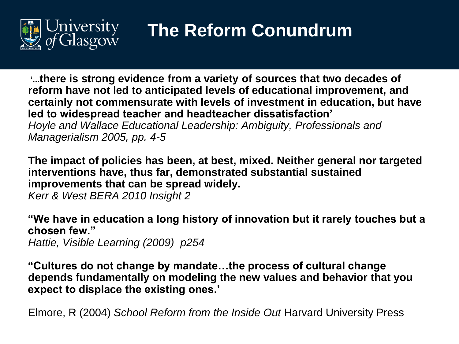

## **The Reform Conundrum**

**'...there is strong evidence from a variety of sources that two decades of reform have not led to anticipated levels of educational improvement, and certainly not commensurate with levels of investment in education, but have led to widespread teacher and headteacher dissatisfaction'** *Hoyle and Wallace Educational Leadership: Ambiguity, Professionals and Managerialism 2005, pp. 4-5*

**The impact of policies has been, at best, mixed. Neither general nor targeted interventions have, thus far, demonstrated substantial sustained improvements that can be spread widely.** 

*Kerr & West BERA 2010 Insight 2*

**"We have in education a long history of innovation but it rarely touches but a chosen few."**

*Hattie, Visible Learning (2009) p254*

**"Cultures do not change by mandate…the process of cultural change depends fundamentally on modeling the new values and behavior that you expect to displace the existing ones.'**

Elmore, R (2004) *School Reform from the Inside Out* Harvard University Press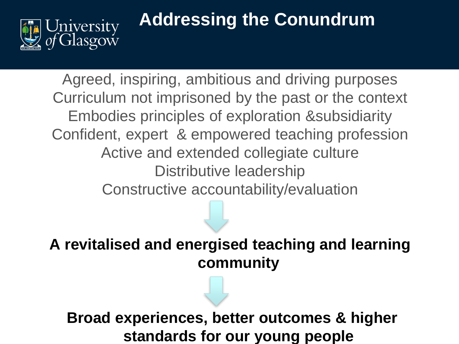

## **Addressing the Conundrum**

Agreed, inspiring, ambitious and driving purposes Curriculum not imprisoned by the past or the context Embodies principles of exploration &subsidiarity Confident, expert & empowered teaching profession Active and extended collegiate culture Distributive leadership Constructive accountability/evaluation

**A revitalised and energised teaching and learning community**

**Broad experiences, better outcomes & higher standards for our young people**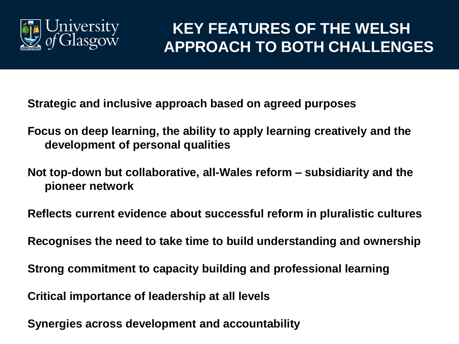

### **KEY FEATURES OF THE WELSH APPROACH TO BOTH CHALLENGES**

**Strategic and inclusive approach based on agreed purposes**

- **Focus on deep learning, the ability to apply learning creatively and the development of personal qualities**
- **Not top-down but collaborative, all-Wales reform – subsidiarity and the pioneer network**

**Reflects current evidence about successful reform in pluralistic cultures**

**Recognises the need to take time to build understanding and ownership**

**Strong commitment to capacity building and professional learning** 

**Critical importance of leadership at all levels**

**Synergies across development and accountability**